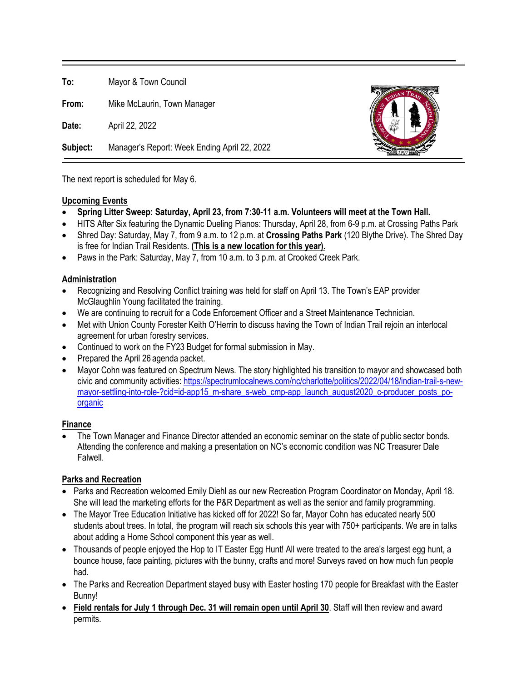**To:** Mayor & Town Council

**From:** Mike McLaurin, Town Manager

**Date:** April 22, 2022

**Subject:** Manager's Report: Week Ending April 22, 2022



The next report is scheduled for May 6.

### **Upcoming Events**

- **Spring Litter Sweep: Saturday, April 23, from 7:30-11 a.m. Volunteers will meet at the Town Hall.**
- HITS After Six featuring the Dynamic Dueling Pianos: Thursday, April 28, from 6-9 p.m. at Crossing Paths Park
- Shred Day: Saturday, May 7, from 9 a.m. to 12 p.m. at **Crossing Paths Park** (120 Blythe Drive). The Shred Day is free for Indian Trail Residents. **(This is a new location for this year).**
- Paws in the Park: Saturday, May 7, from 10 a.m. to 3 p.m. at Crooked Creek Park.

## **Administration**

- Recognizing and Resolving Conflict training was held for staff on April 13. The Town's EAP provider McGlaughlin Young facilitated the training.
- We are continuing to recruit for a Code Enforcement Officer and a Street Maintenance Technician.
- Met with Union County Forester Keith O'Herrin to discuss having the Town of Indian Trail rejoin an interlocal agreement for urban forestry services.
- Continued to work on the FY23 Budget for formal submission in May.
- Prepared the April 26 agenda packet.
- Mayor Cohn was featured on Spectrum News. The story highlighted his transition to mayor and showcased both civic and community activities: [https://spectrumlocalnews.com/nc/charlotte/politics/2022/04/18/indian-trail-s-new](https://spectrumlocalnews.com/nc/charlotte/politics/2022/04/18/indian-trail-s-new-mayor-settling-into-role-?cid=id-app15_m-share_s-web_cmp-app_launch_august2020_c-producer_posts_po-organic)[mayor-settling-into-role-?cid=id-app15\\_m-share\\_s-web\\_cmp-app\\_launch\\_august2020\\_c-producer\\_posts\\_po](https://spectrumlocalnews.com/nc/charlotte/politics/2022/04/18/indian-trail-s-new-mayor-settling-into-role-?cid=id-app15_m-share_s-web_cmp-app_launch_august2020_c-producer_posts_po-organic)[organic](https://spectrumlocalnews.com/nc/charlotte/politics/2022/04/18/indian-trail-s-new-mayor-settling-into-role-?cid=id-app15_m-share_s-web_cmp-app_launch_august2020_c-producer_posts_po-organic)

# **Finance**

• The Town Manager and Finance Director attended an economic seminar on the state of public sector bonds. Attending the conference and making a presentation on NC's economic condition was NC Treasurer Dale Falwell.

# **Parks and Recreation**

- Parks and Recreation welcomed Emily Diehl as our new Recreation Program Coordinator on Monday, April 18. She will lead the marketing efforts for the P&R Department as well as the senior and family programming.
- The Mayor Tree Education Initiative has kicked off for 2022! So far, Mayor Cohn has educated nearly 500 students about trees. In total, the program will reach six schools this year with 750+ participants. We are in talks about adding a Home School component this year as well.
- Thousands of people enjoyed the Hop to IT Easter Egg Hunt! All were treated to the area's largest egg hunt, a bounce house, face painting, pictures with the bunny, crafts and more! Surveys raved on how much fun people had.
- The Parks and Recreation Department stayed busy with Easter hosting 170 people for Breakfast with the Easter Bunny!
- **Field rentals for July 1 through Dec. 31 will remain open until April 30**. Staff will then review and award permits.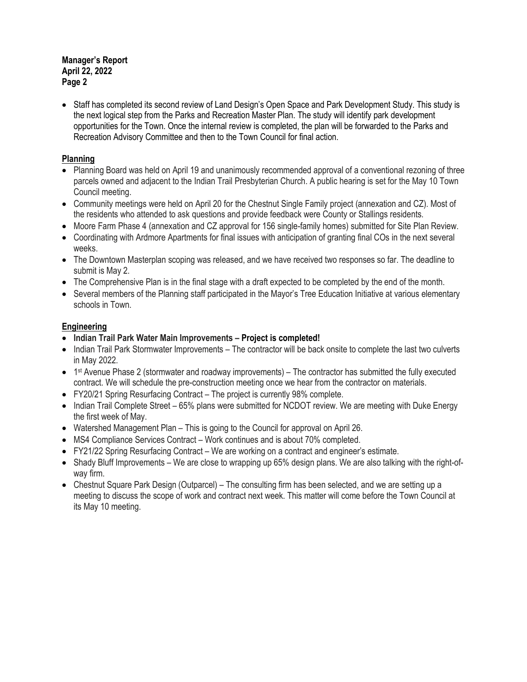#### **Manager's Report April 22, 2022 Page 2**

• Staff has completed its second review of Land Design's Open Space and Park Development Study. This study is the next logical step from the Parks and Recreation Master Plan. The study will identify park development opportunities for the Town. Once the internal review is completed, the plan will be forwarded to the Parks and Recreation Advisory Committee and then to the Town Council for final action.

## **Planning**

- Planning Board was held on April 19 and unanimously recommended approval of a conventional rezoning of three parcels owned and adjacent to the Indian Trail Presbyterian Church. A public hearing is set for the May 10 Town Council meeting.
- Community meetings were held on April 20 for the Chestnut Single Family project (annexation and CZ). Most of the residents who attended to ask questions and provide feedback were County or Stallings residents.
- Moore Farm Phase 4 (annexation and CZ approval for 156 single-family homes) submitted for Site Plan Review.
- Coordinating with Ardmore Apartments for final issues with anticipation of granting final COs in the next several weeks.
- The Downtown Masterplan scoping was released, and we have received two responses so far. The deadline to submit is May 2.
- The Comprehensive Plan is in the final stage with a draft expected to be completed by the end of the month.
- Several members of the Planning staff participated in the Mayor's Tree Education Initiative at various elementary schools in Town.

### **Engineering**

- **Indian Trail Park Water Main Improvements Project is completed!**
- Indian Trail Park Stormwater Improvements The contractor will be back onsite to complete the last two culverts in May 2022.
- $\bullet$  1<sup>st</sup> Avenue Phase 2 (stormwater and roadway improvements) The contractor has submitted the fully executed contract. We will schedule the pre-construction meeting once we hear from the contractor on materials.
- FY20/21 Spring Resurfacing Contract The project is currently 98% complete.
- Indian Trail Complete Street 65% plans were submitted for NCDOT review. We are meeting with Duke Energy the first week of May.
- Watershed Management Plan This is going to the Council for approval on April 26.
- MS4 Compliance Services Contract Work continues and is about 70% completed.
- FY21/22 Spring Resurfacing Contract We are working on a contract and engineer's estimate.
- Shady Bluff Improvements We are close to wrapping up 65% design plans. We are also talking with the right-ofway firm.
- Chestnut Square Park Design (Outparcel) The consulting firm has been selected, and we are setting up a meeting to discuss the scope of work and contract next week. This matter will come before the Town Council at its May 10 meeting.